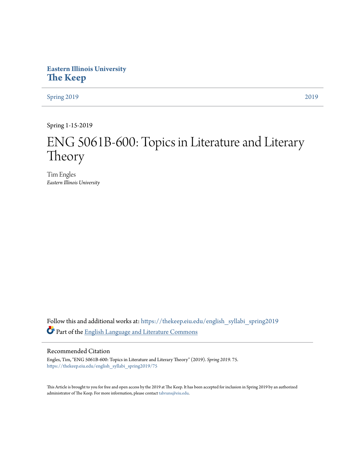# **Eastern Illinois University [The Keep](https://thekeep.eiu.edu?utm_source=thekeep.eiu.edu%2Fenglish_syllabi_spring2019%2F75&utm_medium=PDF&utm_campaign=PDFCoverPages)**

[Spring 2019](https://thekeep.eiu.edu/english_syllabi_spring2019?utm_source=thekeep.eiu.edu%2Fenglish_syllabi_spring2019%2F75&utm_medium=PDF&utm_campaign=PDFCoverPages) [2019](https://thekeep.eiu.edu/english_syllabi2019?utm_source=thekeep.eiu.edu%2Fenglish_syllabi_spring2019%2F75&utm_medium=PDF&utm_campaign=PDFCoverPages)

Spring 1-15-2019

# ENG 5061B-600: Topics in Literature and Literary Theory

Tim Engles *Eastern Illinois University*

Follow this and additional works at: [https://thekeep.eiu.edu/english\\_syllabi\\_spring2019](https://thekeep.eiu.edu/english_syllabi_spring2019?utm_source=thekeep.eiu.edu%2Fenglish_syllabi_spring2019%2F75&utm_medium=PDF&utm_campaign=PDFCoverPages) Part of the [English Language and Literature Commons](http://network.bepress.com/hgg/discipline/455?utm_source=thekeep.eiu.edu%2Fenglish_syllabi_spring2019%2F75&utm_medium=PDF&utm_campaign=PDFCoverPages)

### Recommended Citation

Engles, Tim, "ENG 5061B-600: Topics in Literature and Literary Theory" (2019). *Spring 2019*. 75. [https://thekeep.eiu.edu/english\\_syllabi\\_spring2019/75](https://thekeep.eiu.edu/english_syllabi_spring2019/75?utm_source=thekeep.eiu.edu%2Fenglish_syllabi_spring2019%2F75&utm_medium=PDF&utm_campaign=PDFCoverPages)

This Article is brought to you for free and open access by the 2019 at The Keep. It has been accepted for inclusion in Spring 2019 by an authorized administrator of The Keep. For more information, please contact [tabruns@eiu.edu.](mailto:tabruns@eiu.edu)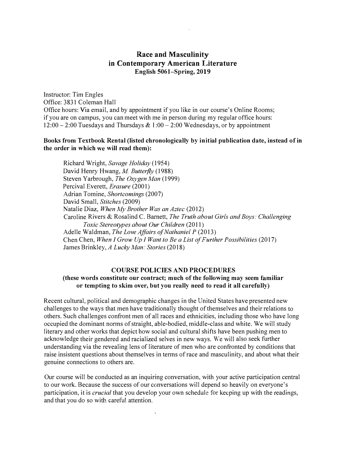# Race and Masculinity in Contemporary American Literature English 5061-Spring, 2019

Instructor: Tim Engles Office: 3831 Coleman Hall Office hours: Via email, and by appointment if you like in our course's Online Rooms; if you are on campus, you can meet with me in person during my regular office hours:  $12:00 - 2:00$  Tuesdays and Thursdays & 1:00 - 2:00 Wednesdays, or by appointment

## Books from Textbook Rental (listed chronologically by initial publication date, instead of in the order in which we will read them):

Richard Wright, Savage Holiday (1954) David Henry Hwang, M. Butterfly (1988) Steven Yarbrough, The Oxygen Man (1999) Percival Everett, Erasure (2001) Adrian Tomine, Shortcomings (2007) David Small, Stitches (2009) Natalie Diaz, When My Brother Was an Aztec (2012) Caroline Rivers & Rosalind C. Barnett, The Truth about Girls and Boys: Challenging Toxic Stereotypes about Our Children (2011) Adelle Waldman, The Love Affairs of Nathaniel P (2013) Chen Chen, When I Grow Up I Want to Be a List of Further Possibilities (2017) James Brinkley, A Lucky Man: Stories (2018)

#### COURSE POLICIES AND PROCEDURES

## (these words constitute our contract; much of the following may seem familiar or tempting to skim over, but you really need to read it all carefully)

Recent cultural, political and demographic changes in the United States have presented new challenges to the ways that men have traditionally thought of themselves and their relations to others. Such challenges confront men of all races and ethnicities, including those who have long occupied the dominant norms of straight, able-bodied, middle-class and white. We will study literary and other works that depict how social and cultural shifts have been pushing men to acknowledge their gendered and racialized selves in new ways. We will also seek further understanding via the revealing lens of literature of men who are confronted by conditions that raise insistent questions about themselves in terms of race and masculinity, and about what their genuine connections to others are.

Our course will be conducted as an inquiring conversation, with your active participation central to our work. Because the success of our conversations will depend so heavily on everyone's participation, it is *crucial* that you develop your own schedule for keeping up with the readings, and that you do so with careful attention.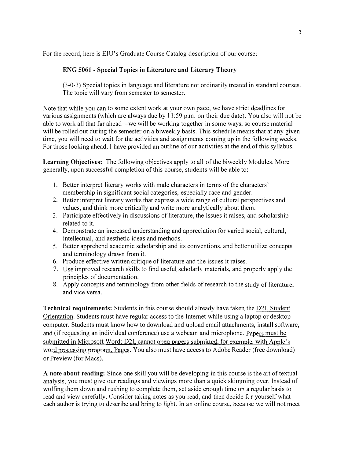For the record, here is EIU's Graduate Course Catalog description of our course:

# ENG 5061 - Special Topics in Literature and Literary Theory

(3-0-3) Special topics in language and literature not ordinarily treated in standard courses. The topic will vary from semester to semester.

Note that while you can to some extent work at your own pace, we have strict deadlines for various assignments (which are always due by 11 :59 p.m. on their due date). You also will not be able to work all that far ahead—we will be working together in some ways, so course material will be rolled out during the semester on a biweekly basis. This schedule means that at any given time, you will need to wait for the activities and assignments coming up in the following weeks. For those looking ahead, I have provided an outline of our activities at the end of this syllabus.

Learning Objectives: The following objectives apply to all of the biweekly Modules. More generally, upon successful completion of this course, students will be able to:

- I. Better interpret literary works with male characters in terms of the characters' membership in significant social categories, especially race and gender.
- 2. Better interpret literary works that express a wide range of cultural perspectives and values, and think more critically and write more analytically about them.
- 3. Participate effectively in discussions of literature, the issues it raises, and scholarship related to it.
- 4. Demonstrate an increased understanding and appreciation for varied social, cultural, intellectual, and aesthetic ideas and methods.
- 5. Better apprehend academic scholarship and its conventions, and better utilize concepts and terminology drawn from it.
- 6. Produce effective written critique of literature and the issues it raises.
- 7. Use improved research skills to find useful scholarly materials, and properly apply the principles of documentation.
- 8. Apply concepts and terminology from other fields of research to the study of literature, and vice versa.

Technical requirements: Students in this course should already have taken the **D2L Student** Orientation. Students must have regular access to the Internet while using a laptop or desktop computer. Students must know how to download and upload email attachments, install software, and (if requesting an individual conference) use a webcam and microphone. Papers must be submitted in Microsoft Word: D2L cannot open papers submitted, for example, with Apple's word processing program, Pages. You also must have access to Adobe Reader (free download) or Preview (for Macs).

A note about reading: Since one skill you will be developing in this course is the art of textual analysis, you must give our readings and viewings more than a quick skimming over. Instead of wolfing them down and rushing to complete them, set aside enough time on a regular basis to read and view carefully. Consider taking notes as you read, and then decide for yourself what each author is trying to describe and bring to light. In an online course, because we will not meet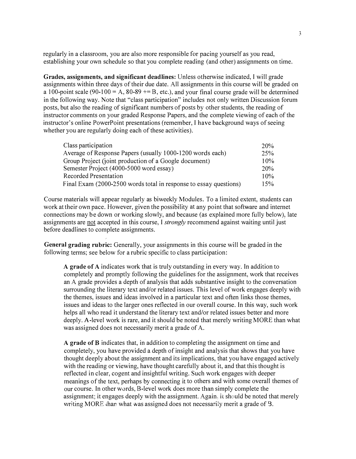regularly in a classroom, you are also more responsible for pacing yourself as you read, establishing your own schedule so that you complete reading (and other) assignments on time.

Grades, assignments, and significant deadlines: Unless otherwise indicated, I will grade assignments within three days of their due date. All assignments in this course will be graded on a 100-point scale (90-100 = A, 80-89  $+= B$ , etc.), and your final course grade will be determined in the following way. Note that "class participation" includes not only written Discussion forum posts, but also the reading of significant numbers of posts by other students, the reading of instructor comments on your graded Response Papers, and the complete viewing of each of the instructor's online PowerPoint presentations (remember, I have background ways of seeing whether you are regularly doing each of these activities).

| Class participation                                               | 20% |
|-------------------------------------------------------------------|-----|
| Average of Response Papers (usually 1000-1200 words each)         | 25% |
| Group Project (joint production of a Google document)             | 10% |
| Semester Project (4000-5000 word essay)                           | 20% |
| Recorded Presentation                                             | 10% |
| Final Exam (2000-2500 words total in response to essay questions) | 15% |

Course materials will appear regularly as biweekly Modules. To a limited extent, students can work at their own pace. However, given the possibility at any point that software and internet connections may be down or working slowly, and because (as explained more fully below), late assignments are not accepted in this course, I strongly recommend against waiting until just before deadlines to complete assignments.

General grading rubric: Generally, your assignments in this course will be graded in the following terms; see below for a rubric specific to class participation:

A grade of A indicates work that is truly outstanding in every way. In addition to completely and promptly following the guidelines for the assignment, work that receives an A grade provides a depth of analysis that adds substantive insight to the conversation surrounding the literary text and/or related issues. This level of work engages deeply with the themes, issues and ideas involved in a particular text and often links those themes, issues and ideas to the larger ones reflected in our overall course. In this way, such work helps all who read it understand the literary text and/or related issues better and more deeply. A-level work is rare, and it should be noted that merely writing MORE than what was assigned does not necessarily merit a grade of A.

A grade of B indicates that, in addition to completing the assignment on time and completely, you have provided a depth of insight and analysis that shows that you have thought deeply about the assignment and its implications, that you have engaged actively with the reading or viewing, have thought carefully about it, and that this thought is reflected in clear, cogent and insightful writing. Such work engages with deeper meanings of the text, perhaps by connecting it to others and with some overall themes of our course. In other words, B-level work does more than simply complete the assignment; it engages deeply with the assignment. Again. it should be noted that merely writing MORE than what was assigned does not necessarily merit a grade of B.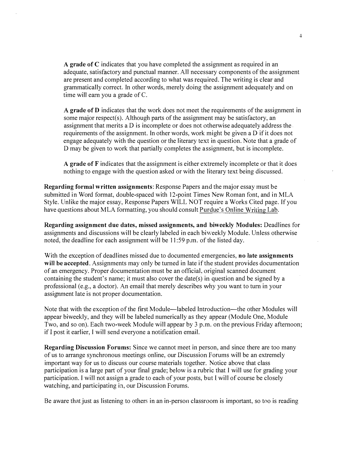A grade of C indicates that you have completed the assignment as required in an adequate, satisfactory and punctual manner. All necessary components of the assignment are present and completed according to what was required. The writing is clear and grammatically correct. In other words, merely doing the assignment adequately and on time will earn you a grade of C.

A grade of D indicates that the work does not meet the requirements of the assignment in some major respect(s). Although parts of the assignment may be satisfactory, an assignment that merits a D is incomplete or does not otherwise adequately address the requirements of the assignment. In other words, work might be given a D if it does not engage adequately with the question or the literary text in question. Note that a grade of D may be given to work that partially completes the assignment, but is incomplete.

A grade of F indicates that the assignment is either extremely incomplete or that it does nothing to engage with the question asked or with the literary text being discussed.

Regarding formal written assignments: Response Papers and the major essay must be submitted in Word format, double-spaced with 12-point Times New Roman font, and in MLA Style. Unlike the major essay, Response Papers WILL NOT require a Works Cited page. If you have questions about MLA formatting, you should consult Purdue's Online Writing Lab.

Regarding assignment due dates, missed assignments, and biweekly Modules: Deadlines for assignments and discussions will be clearly labeled in each biweekly Module. Unless otherwise noted, the deadline for each assignment will be 11 :59 p.m. of the listed day.

With the exception of deadlines missed due to documented emergencies, no late assignments will be accepted. Assignments may only be turned in late if the student provides documentation of an emergency. Proper documentation must be an official, original scanned document containing the student's name; it must also cover the date(s) in question and be signed by a professional (e.g., a doctor). An email that merely describes why you want to turn in your assignment late is not proper documentation.

Note that with the exception of the first Module-labeled Introduction-the other Modules will appear biweekly, and they will be labeled numerically as they appear (Module One, Module Two, and so on). Each two-week Module will appear by 3 p.m. on the previous Friday afternoon; if I post it earlier, I will send everyone a notification email.

Regarding Discussion Forums: Since we cannot meet in person, and since there are too many of us to arrange synchronous meetings online, our Discussion Forums will be an extremely important way for us to discuss our course materials together. Notice above that class participation is a large part of your final grade; below is a rubric that I will use for grading your participation. I will not assign a grade to each of your posts, but I will of course be closely watching, and participating in, our Discussion Forums.

Be aware that just as listening to others in an in-person classroom is important, so too is reading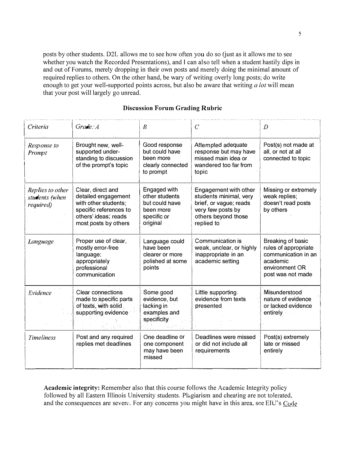posts by other students. D2L allows me to see how often you do so (just as it allows me to see whether you watch the Recorded Presentations), and I can also tell when a student hastily dips in and out of Forums, merely dropping in their own posts and merely doing the minimal amount of required replies to others. On the other hand, be wary of writing overly long posts; do write enough to get your well-supported points across, but also be aware that writing  $a$  lot will mean that your post will largely go unread.

| Criteria                                        | Grade: A                                                                                                                                   | $\boldsymbol{B}$                                                                         | $\overline{C}$                                                                                                                      | $\mathcal{D}$                                                                                                       |
|-------------------------------------------------|--------------------------------------------------------------------------------------------------------------------------------------------|------------------------------------------------------------------------------------------|-------------------------------------------------------------------------------------------------------------------------------------|---------------------------------------------------------------------------------------------------------------------|
| Response to<br>Prompt                           | Brought new, well-<br>supported under-<br>standing to discussion<br>of the prompt's topic                                                  | Good response<br>but could have<br>been more<br>clearly connected<br>to prompt           | Attempted adequate<br>response but may have<br>missed main idea or<br>wandered too far from<br>topic                                | Post(s) not made at<br>all, or not at all<br>connected to topic                                                     |
| Replies to other<br>students (when<br>required) | Clear, direct and<br>detailed engagement<br>with other students;<br>specific references to<br>others' ideas; reads<br>most posts by others | Engaged with<br>other students<br>but could have<br>been more<br>specific or<br>original | Engagement with other<br>students minimal, very<br>brief, or vague; reads<br>very few posts by<br>others beyond those<br>replied to | Missing or extremely<br>weak replies;<br>doesn't read posts<br>by others                                            |
| Language                                        | Proper use of clear,<br>mostly error-free<br>language;<br>appropriately<br>professional<br>communication                                   | Language could<br>have been<br>clearer or more<br>polished at some<br>points             | Communication is<br>weak, unclear, or highly<br>inappropriate in an<br>academic setting                                             | Breaking of basic<br>rules of appropriate<br>communication in an<br>academic<br>environment OR<br>post was not made |
| Evidence                                        | <b>Clear connections</b><br>made to specific parts<br>of texts, with solid<br>supporting evidence                                          | Some good<br>evidence, but<br>lacking in<br>examples and<br>specificity                  | Little supporting<br>evidence from texts<br>presented                                                                               | Misunderstood<br>nature of evidence<br>or lacked evidence<br>entirely                                               |
| Timeliness                                      | Post and any required<br>replies met deadlines                                                                                             | One deadline or<br>one component<br>may have been<br>missed                              | Deadlines were missed<br>or did not include all<br>requirements                                                                     | Post(s) extremely<br>late or missed<br>entirely                                                                     |

#### Discussion Forum Grading Rubric

Academic integrity: Remember also that this course follows the Academic Integrity policy followed by all Eastern Illinois University students. Plagiarism and cheating are not tolerated. and the consequences are severe. For any concerns you might have in this area, see EIU's  $C_{0}$ de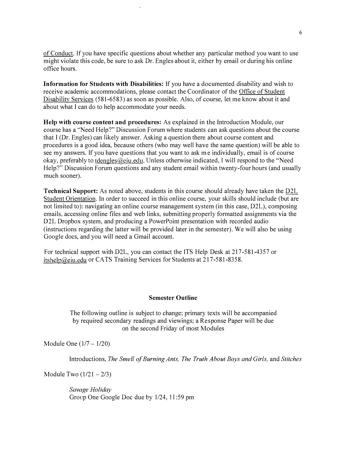of Conduct. !f you have specific questions about whether any particular method you want to use might violate this code, be sure to ask Dr. Engles about it, either by email or during his online office hours.

Information for Students with Disabilities: If you have a documented disability and wish to receive academic accommodations, please contact the Coordinator of the Office of Student Disability Services (581-6583) as soon as possible. Also, of course, let me know about it and about what I can do to help accommodate your needs.

Help with course content and procedures: As explained in the Introduction Module, our course has a "Need Help?" Discussion Forum where students can ask questions about the course that I (Dr. Engles) can likely answer. Asking a question there about course content and procedures is a good idea, because others (who may well have the same question) will be able to see my answers. If you have questions that you want to ask me individually, email is of course okay, preferably to tdengles@eiu.edu. Unless otherwise indicated, l will respond to the "Need Help?" Discussion Forum questions and any student email within twenty-four hours (and usually much sooner).

Technical Support: As noted above, students in this course should already have taken the D2L Student Orientation. In order to succeed in this online course, your skills should include (but are not limited to): navigating an online course management system (in this case, D2L), composing emails, accessing online files and web links, submitting properly formatted assignments via the D2L Dropbox system, and producing a PowerPoint presentation with recorded audio (instructions regarding the latter will be provided later in the semester). We will also be using Google docs, and you will need a Gmail account.

For technical support with D2L, you can contact the ITS Help Desk at 217-581-4357 or itshelp@eiu.edu or CATS Training Services for Students at 217-581-8358.

#### Semester Outline

The following outline is subject to change; primary texts will be accompanied by required secondary readings and viewings; a Response Paper will be due on the second Friday of most Modules

Module One  $(1/7 - 1/20)$ 

Introductions, The Smell of Burning Ants, The Truth About Boys and Girls, and Stitches

Module Two  $(1/21 - 2/3)$ 

Savage Holiday Group One Google Doc due by 1/24, 11:59 pm